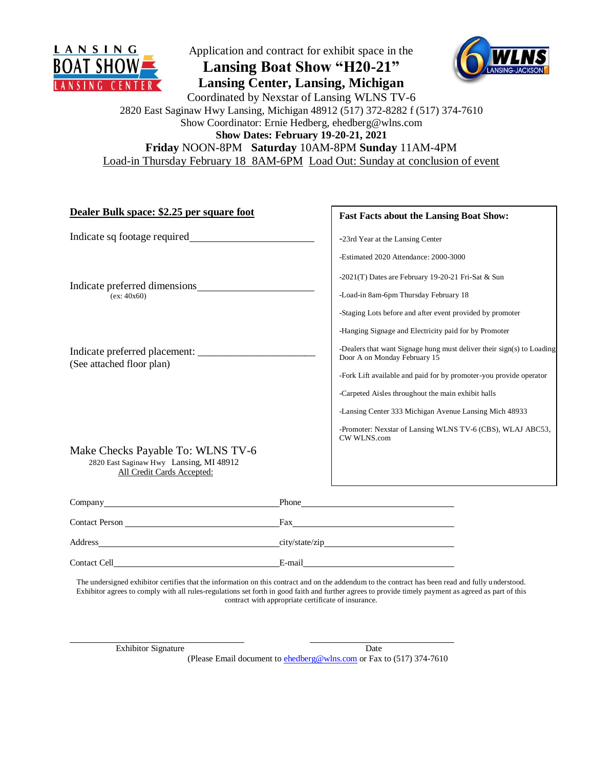

Application and contract for exhibit space in the

## **Lansing Boat Show "H20-21" Lansing Center, Lansing, Michigan**



Coordinated by Nexstar of Lansing WLNS TV-6 2820 East Saginaw Hwy Lansing, Michigan 48912 (517) 372-8282 f (517) 374-7610 Show Coordinator: Ernie Hedberg, ehedberg@wlns.com **Show Dates: February 19-20-21, 2021 Friday** NOON-8PM **Saturday** 10AM-8PM **Sunday** 11AM-4PM

Load-in Thursday February 18 8AM-6PM Load Out: Sunday at conclusion of event

| Dealer Bulk space: \$2.25 per square foot                                                                  |       | <b>Fast Facts about the Lansing Boat Show:</b>                                                        |
|------------------------------------------------------------------------------------------------------------|-------|-------------------------------------------------------------------------------------------------------|
| Indicate sq footage required                                                                               |       | -23rd Year at the Lansing Center                                                                      |
|                                                                                                            |       | -Estimated 2020 Attendance: 2000-3000                                                                 |
| Indicate preferred dimensions<br>(ex: 40x60)                                                               |       | -2021(T) Dates are February 19-20-21 Fri-Sat & Sun                                                    |
|                                                                                                            |       | -Load-in 8am-6pm Thursday February 18                                                                 |
|                                                                                                            |       | -Staging Lots before and after event provided by promoter                                             |
| Indicate preferred placement:<br>(See attached floor plan)                                                 |       | -Hanging Signage and Electricity paid for by Promoter                                                 |
|                                                                                                            |       | -Dealers that want Signage hung must deliver their sign(s) to Loading<br>Door A on Monday February 15 |
|                                                                                                            |       | -Fork Lift available and paid for by promoter-you provide operator                                    |
|                                                                                                            |       | -Carpeted Aisles throughout the main exhibit halls                                                    |
|                                                                                                            |       | -Lansing Center 333 Michigan Avenue Lansing Mich 48933                                                |
|                                                                                                            |       | -Promoter: Nexstar of Lansing WLNS TV-6 (CBS), WLAJ ABC53,<br>CW WLNS.com                             |
| Make Checks Payable To: WLNS TV-6<br>2820 East Saginaw Hwy Lansing, MI 48912<br>All Credit Cards Accepted: |       |                                                                                                       |
| Company                                                                                                    | Phone |                                                                                                       |
| <b>Contact Person</b>                                                                                      | Fax   |                                                                                                       |

Address city/state/zip

l,

Contact Cell E-mail

The undersigned exhibitor certifies that the information on this contract and on the addendum to the contract has been read and fully understood. Exhibitor agrees to comply with all rules-regulations set forth in good faith and further agrees to provide timely payment as agreed as part of this contract with appropriate certificate of insurance.

Exhibitor Signature Date

(Please Email document to **chedberg@wlns.com** or Fax to (517) 374-7610